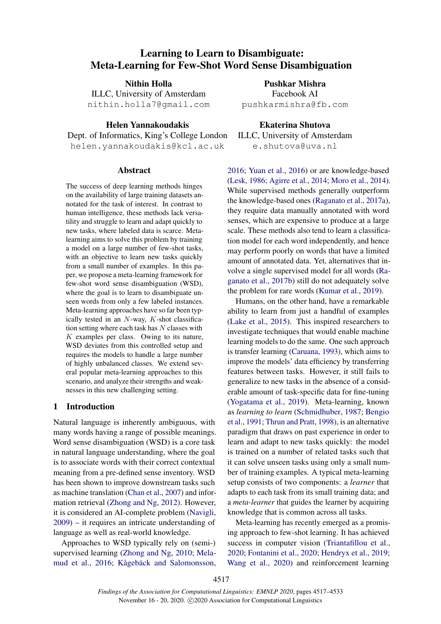# Learning to Learn to Disambiguate: Meta-Learning for Few-Shot Word Sense Disambiguation

Nithin Holla

ILLC, University of Amsterdam nithin.holla7@gmail.com

Helen Yannakoudakis Dept. of Informatics, King's College London helen.yannakoudakis@kcl.ac.uk

# Abstract

The success of deep learning methods hinges on the availability of large training datasets annotated for the task of interest. In contrast to human intelligence, these methods lack versatility and struggle to learn and adapt quickly to new tasks, where labeled data is scarce. Metalearning aims to solve this problem by training a model on a large number of few-shot tasks, with an objective to learn new tasks quickly from a small number of examples. In this paper, we propose a meta-learning framework for few-shot word sense disambiguation (WSD), where the goal is to learn to disambiguate unseen words from only a few labeled instances. Meta-learning approaches have so far been typically tested in an  $N$ -way,  $K$ -shot classification setting where each task has  $N$  classes with  $K$  examples per class. Owing to its nature, WSD deviates from this controlled setup and requires the models to handle a large number of highly unbalanced classes. We extend several popular meta-learning approaches to this scenario, and analyze their strengths and weaknesses in this new challenging setting.

## 1 Introduction

Natural language is inherently ambiguous, with many words having a range of possible meanings. Word sense disambiguation (WSD) is a core task in natural language understanding, where the goal is to associate words with their correct contextual meaning from a pre-defined sense inventory. WSD has been shown to improve downstream tasks such as machine translation [\(Chan et al.,](#page-8-0) [2007\)](#page-8-0) and information retrieval [\(Zhong and Ng,](#page-11-0) [2012\)](#page-11-0). However, it is considered an AI-complete problem [\(Navigli,](#page-10-0) [2009\)](#page-10-0) – it requires an intricate understanding of language as well as real-world knowledge.

Approaches to WSD typically rely on (semi-) supervised learning [\(Zhong and Ng,](#page-11-1) [2010;](#page-11-1) [Mela](#page-10-1)[mud et al.,](#page-10-1) [2016;](#page-10-1) Kågebäck and Salomonsson,

Pushkar Mishra Facebook AI pushkarmishra@fb.com

Ekaterina Shutova ILLC, University of Amsterdam e.shutova@uva.nl

[2016;](#page-9-0) [Yuan et al.,](#page-11-2) [2016\)](#page-11-2) or are knowledge-based [\(Lesk,](#page-10-2) [1986;](#page-10-2) [Agirre et al.,](#page-8-1) [2014;](#page-8-1) [Moro et al.,](#page-10-3) [2014\)](#page-10-3). While supervised methods generally outperform the knowledge-based ones [\(Raganato et al.,](#page-10-4) [2017a\)](#page-10-4), they require data manually annotated with word senses, which are expensive to produce at a large scale. These methods also tend to learn a classification model for each word independently, and hence may perform poorly on words that have a limited amount of annotated data. Yet, alternatives that involve a single supervised model for all words [\(Ra](#page-10-5)[ganato et al.,](#page-10-5) [2017b\)](#page-10-5) still do not adequately solve the problem for rare words [\(Kumar et al.,](#page-9-1) [2019\)](#page-9-1).

Humans, on the other hand, have a remarkable ability to learn from just a handful of examples [\(Lake et al.,](#page-9-2) [2015\)](#page-9-2). This inspired researchers to investigate techniques that would enable machine learning models to do the same. One such approach is transfer learning [\(Caruana,](#page-8-2) [1993\)](#page-8-2), which aims to improve the models' data efficiency by transferring features between tasks. However, it still fails to generalize to new tasks in the absence of a considerable amount of task-specific data for fine-tuning [\(Yogatama et al.,](#page-11-3) [2019\)](#page-11-3). Meta-learning, known as *learning to learn* [\(Schmidhuber,](#page-10-6) [1987;](#page-10-6) [Bengio](#page-8-3) [et al.,](#page-8-3) [1991;](#page-8-3) [Thrun and Pratt,](#page-11-4) [1998\)](#page-11-4), is an alternative paradigm that draws on past experience in order to learn and adapt to new tasks quickly: the model is trained on a number of related tasks such that it can solve unseen tasks using only a small number of training examples. A typical meta-learning setup consists of two components: a *learner* that adapts to each task from its small training data; and a *meta-learner* that guides the learner by acquiring knowledge that is common across all tasks.

Meta-learning has recently emerged as a promising approach to few-shot learning. It has achieved success in computer vision [\(Triantafillou et al.,](#page-11-5) [2020;](#page-11-5) [Fontanini et al.,](#page-9-3) [2020;](#page-9-3) [Hendryx et al.,](#page-9-4) [2019;](#page-9-4) [Wang et al.,](#page-11-6) [2020\)](#page-11-6) and reinforcement learning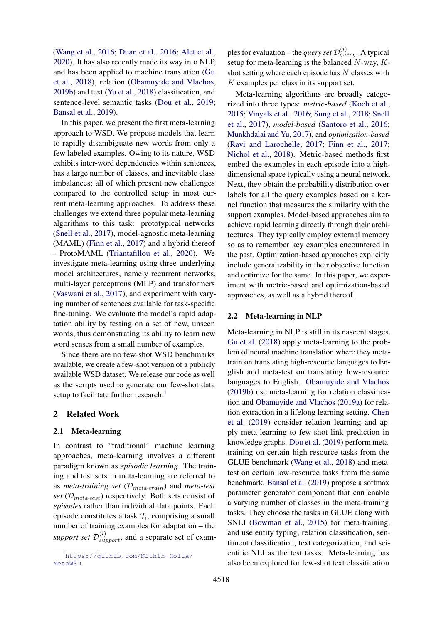[\(Wang et al.,](#page-11-7) [2016;](#page-11-7) [Duan et al.,](#page-9-5) [2016;](#page-9-5) [Alet et al.,](#page-8-4) [2020\)](#page-8-4). It has also recently made its way into NLP, and has been applied to machine translation [\(Gu](#page-9-6) [et al.,](#page-9-6) [2018\)](#page-9-6), relation [\(Obamuyide and Vlachos,](#page-10-7) [2019b\)](#page-10-7) and text [\(Yu et al.,](#page-11-8) [2018\)](#page-11-8) classification, and sentence-level semantic tasks [\(Dou et al.,](#page-8-5) [2019;](#page-8-5) [Bansal et al.,](#page-8-6) [2019\)](#page-8-6).

In this paper, we present the first meta-learning approach to WSD. We propose models that learn to rapidly disambiguate new words from only a few labeled examples. Owing to its nature, WSD exhibits inter-word dependencies within sentences, has a large number of classes, and inevitable class imbalances; all of which present new challenges compared to the controlled setup in most current meta-learning approaches. To address these challenges we extend three popular meta-learning algorithms to this task: prototypical networks [\(Snell et al.,](#page-11-9) [2017\)](#page-11-9), model-agnostic meta-learning (MAML) [\(Finn et al.,](#page-9-7) [2017\)](#page-9-7) and a hybrid thereof – ProtoMAML [\(Triantafillou et al.,](#page-11-5) [2020\)](#page-11-5). We investigate meta-learning using three underlying model architectures, namely recurrent networks, multi-layer perceptrons (MLP) and transformers [\(Vaswani et al.,](#page-11-10) [2017\)](#page-11-10), and experiment with varying number of sentences available for task-specific fine-tuning. We evaluate the model's rapid adaptation ability by testing on a set of new, unseen words, thus demonstrating its ability to learn new word senses from a small number of examples.

Since there are no few-shot WSD benchmarks available, we create a few-shot version of a publicly available WSD dataset. We release our code as well as the scripts used to generate our few-shot data setup to facilitate further research.<sup>[1](#page-1-0)</sup>

### 2 Related Work

#### 2.1 Meta-learning

In contrast to "traditional" machine learning approaches, meta-learning involves a different paradigm known as *episodic learning*. The training and test sets in meta-learning are referred to as *meta-training set* (Dmeta-train) and *meta-test set* ( $\mathcal{D}_{meta-test}$ ) respectively. Both sets consist of *episodes* rather than individual data points. Each episode constitutes a task  $\mathcal{T}_i$ , comprising a small number of training examples for adaptation – the support set  $\mathcal{D}_{support}^{(i)}$ , and a separate set of exam-

ples for evaluation – the *query set*  $\mathcal{D}_{query}^{(i)}$ . A typical setup for meta-learning is the balanced  $N$ -way,  $K$ shot setting where each episode has  $N$  classes with K examples per class in its support set.

Meta-learning algorithms are broadly categorized into three types: *metric-based* [\(Koch et al.,](#page-9-8) [2015;](#page-9-8) [Vinyals et al.,](#page-11-11) [2016;](#page-11-11) [Sung et al.,](#page-11-12) [2018;](#page-11-12) [Snell](#page-11-9) [et al.,](#page-11-9) [2017\)](#page-11-9), *model-based* [\(Santoro et al.,](#page-10-8) [2016;](#page-10-8) [Munkhdalai and Yu,](#page-10-9) [2017\)](#page-10-9), and *optimization-based* [\(Ravi and Larochelle,](#page-10-10) [2017;](#page-10-10) [Finn et al.,](#page-9-7) [2017;](#page-9-7) [Nichol et al.,](#page-10-11) [2018\)](#page-10-11). Metric-based methods first embed the examples in each episode into a highdimensional space typically using a neural network. Next, they obtain the probability distribution over labels for all the query examples based on a kernel function that measures the similarity with the support examples. Model-based approaches aim to achieve rapid learning directly through their architectures. They typically employ external memory so as to remember key examples encountered in the past. Optimization-based approaches explicitly include generalizability in their objective function and optimize for the same. In this paper, we experiment with metric-based and optimization-based approaches, as well as a hybrid thereof.

### 2.2 Meta-learning in NLP

Meta-learning in NLP is still in its nascent stages. [Gu et al.](#page-9-6) [\(2018\)](#page-9-6) apply meta-learning to the problem of neural machine translation where they metatrain on translating high-resource languages to English and meta-test on translating low-resource languages to English. [Obamuyide and Vlachos](#page-10-7) [\(2019b\)](#page-10-7) use meta-learning for relation classification and [Obamuyide and Vlachos](#page-10-12) [\(2019a\)](#page-10-12) for relation extraction in a lifelong learning setting. [Chen](#page-8-7) [et al.](#page-8-7) [\(2019\)](#page-8-7) consider relation learning and apply meta-learning to few-shot link prediction in knowledge graphs. [Dou et al.](#page-8-5) [\(2019\)](#page-8-5) perform metatraining on certain high-resource tasks from the GLUE benchmark [\(Wang et al.,](#page-11-13) [2018\)](#page-11-13) and metatest on certain low-resource tasks from the same benchmark. [Bansal et al.](#page-8-6) [\(2019\)](#page-8-6) propose a softmax parameter generator component that can enable a varying number of classes in the meta-training tasks. They choose the tasks in GLUE along with SNLI [\(Bowman et al.,](#page-8-8) [2015\)](#page-8-8) for meta-training, and use entity typing, relation classification, sentiment classification, text categorization, and scientific NLI as the test tasks. Meta-learning has also been explored for few-shot text classification

<span id="page-1-0"></span><sup>1</sup>[https://github.com/Nithin-Holla/](https://github.com/Nithin-Holla/MetaWSD) [MetaWSD](https://github.com/Nithin-Holla/MetaWSD)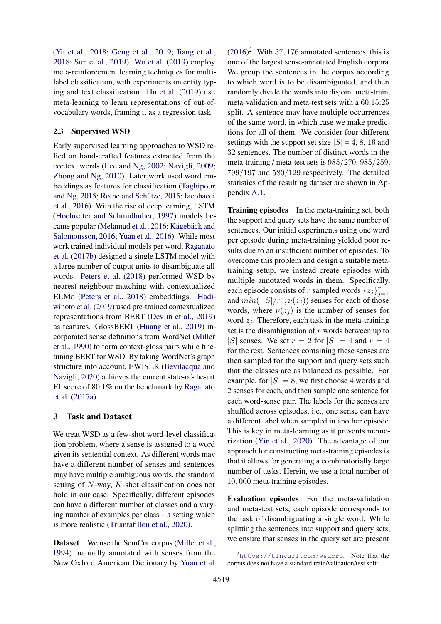[\(Yu et al.,](#page-11-8) [2018;](#page-11-8) [Geng et al.,](#page-9-9) [2019;](#page-9-9) [Jiang et al.,](#page-9-10) [2018;](#page-9-10) [Sun et al.,](#page-11-14) [2019\)](#page-11-14). [Wu et al.](#page-11-15) [\(2019\)](#page-11-15) employ meta-reinforcement learning techniques for multilabel classification, with experiments on entity typing and text classification. [Hu et al.](#page-9-11) [\(2019\)](#page-9-11) use meta-learning to learn representations of out-ofvocabulary words, framing it as a regression task.

# 2.3 Supervised WSD

Early supervised learning approaches to WSD relied on hand-crafted features extracted from the context words [\(Lee and Ng,](#page-9-12) [2002;](#page-9-12) [Navigli,](#page-10-0) [2009;](#page-10-0) [Zhong and Ng,](#page-11-1) [2010\)](#page-11-1). Later work used word embeddings as features for classification [\(Taghipour](#page-11-16) [and Ng,](#page-11-16) [2015;](#page-10-13) Rothe and Schütze, 2015; [Iacobacci](#page-9-13) [et al.,](#page-9-13) [2016\)](#page-9-13). With the rise of deep learning, LSTM [\(Hochreiter and Schmidhuber,](#page-9-14) [1997\)](#page-9-14) models be-came popular [\(Melamud et al.,](#page-10-1) [2016;](#page-10-1) Kågebäck and [Salomonsson,](#page-9-0) [2016;](#page-9-0) [Yuan et al.,](#page-11-2) [2016\)](#page-11-2). While most work trained individual models per word, [Raganato](#page-10-5) [et al.](#page-10-5) [\(2017b\)](#page-10-5) designed a single LSTM model with a large number of output units to disambiguate all words. [Peters et al.](#page-10-14) [\(2018\)](#page-10-14) performed WSD by nearest neighbour matching with contextualized ELMo [\(Peters et al.,](#page-10-14) [2018\)](#page-10-14) embeddings. [Hadi](#page-9-15)[winoto et al.](#page-9-15) [\(2019\)](#page-9-15) used pre-trained contextualized representations from BERT [\(Devlin et al.,](#page-8-9) [2019\)](#page-8-9) as features. GlossBERT [\(Huang et al.,](#page-9-16) [2019\)](#page-9-16) incorporated sense definitions from WordNet [\(Miller](#page-10-15) [et al.,](#page-10-15) [1990\)](#page-10-15) to form context-gloss pairs while finetuning BERT for WSD. By taking WordNet's graph structure into account, EWISER [\(Bevilacqua and](#page-8-10) [Navigli,](#page-8-10) [2020\)](#page-8-10) achieves the current state-of-the-art F1 score of 80.1% on the benchmark by [Raganato](#page-10-4) [et al.](#page-10-4) [\(2017a\)](#page-10-4).

# 3 Task and Dataset

We treat WSD as a few-shot word-level classification problem, where a sense is assigned to a word given its sentential context. As different words may have a different number of senses and sentences may have multiple ambiguous words, the standard setting of N-way, K-shot classification does not hold in our case. Specifically, different episodes can have a different number of classes and a varying number of examples per class – a setting which is more realistic [\(Triantafillou et al.,](#page-11-5) [2020\)](#page-11-5).

Dataset We use the SemCor corpus [\(Miller et al.,](#page-10-16) [1994\)](#page-10-16) manually annotated with senses from the New Oxford American Dictionary by [Yuan et al.](#page-11-2)  $(2016)^2$  $(2016)^2$  $(2016)^2$ . With 37, 176 annotated sentences, this is one of the largest sense-annotated English corpora. We group the sentences in the corpus according to which word is to be disambiguated, and then randomly divide the words into disjoint meta-train, meta-validation and meta-test sets with a 60:15:25 split. A sentence may have multiple occurrences of the same word, in which case we make predictions for all of them. We consider four different settings with the support set size  $|S| = 4$ , 8, 16 and 32 sentences. The number of distinct words in the meta-training / meta-test sets is 985/270, 985/259, 799/197 and 580/129 respectively. The detailed statistics of the resulting dataset are shown in Appendix [A.1.](#page-12-0)

Training episodes In the meta-training set, both the support and query sets have the same number of sentences. Our initial experiments using one word per episode during meta-training yielded poor results due to an insufficient number of episodes. To overcome this problem and design a suitable metatraining setup, we instead create episodes with multiple annotated words in them. Specifically, each episode consists of r sampled words  $\{z_j\}_{j=1}^r$ and  $min(||S|/r|x(z_j))$  senses for each of those words, where  $\nu(z_i)$  is the number of senses for word  $z_i$ . Therefore, each task in the meta-training set is the disambiguation of  $r$  words between up to |S| senses. We set  $r = 2$  for  $|S| = 4$  and  $r = 4$ for the rest. Sentences containing these senses are then sampled for the support and query sets such that the classes are as balanced as possible. For example, for  $|S| = 8$ , we first choose 4 words and 2 senses for each, and then sample one sentence for each word-sense pair. The labels for the senses are shuffled across episodes, i.e., one sense can have a different label when sampled in another episode. This is key in meta-learning as it prevents memorization [\(Yin et al.,](#page-11-17) [2020\)](#page-11-17). The advantage of our approach for constructing meta-training episodes is that it allows for generating a combinatorially large number of tasks. Herein, we use a total number of 10, 000 meta-training episodes.

Evaluation episodes For the meta-validation and meta-test sets, each episode corresponds to the task of disambiguating a single word. While splitting the sentences into support and query sets, we ensure that senses in the query set are present

<span id="page-2-0"></span> $^{2}$ <https://tinyurl.com/wsdcrp>. Note that the corpus does not have a standard train/validation/test split.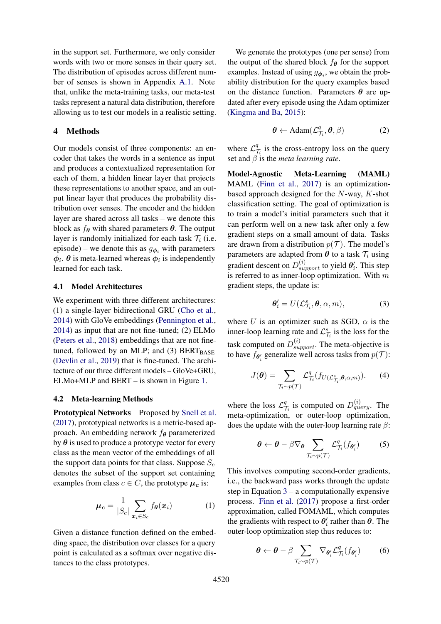in the support set. Furthermore, we only consider words with two or more senses in their query set. The distribution of episodes across different number of senses is shown in Appendix [A.1.](#page-12-0) Note that, unlike the meta-training tasks, our meta-test tasks represent a natural data distribution, therefore allowing us to test our models in a realistic setting.

## 4 Methods

Our models consist of three components: an encoder that takes the words in a sentence as input and produces a contextualized representation for each of them, a hidden linear layer that projects these representations to another space, and an output linear layer that produces the probability distribution over senses. The encoder and the hidden layer are shared across all tasks – we denote this block as  $f_{\theta}$  with shared parameters  $\theta$ . The output layer is randomly initialized for each task  $\mathcal{T}_i$  (i.e. episode) – we denote this as  $g_{\phi_i}$  with parameters  $\phi_i$ .  $\theta$  is meta-learned whereas  $\phi_i$  is independently learned for each task.

### 4.1 Model Architectures

We experiment with three different architectures: (1) a single-layer bidirectional GRU [\(Cho et al.,](#page-8-11) [2014\)](#page-8-11) with GloVe embeddings [\(Pennington et al.,](#page-10-17) [2014\)](#page-10-17) as input that are not fine-tuned; (2) ELMo [\(Peters et al.,](#page-10-14) [2018\)](#page-10-14) embeddings that are not finetuned, followed by an MLP; and (3)  $BERT_{BASE}$ [\(Devlin et al.,](#page-8-9) [2019\)](#page-8-9) that is fine-tuned. The architecture of our three different models – GloVe+GRU, ELMo+MLP and BERT – is shown in Figure [1.](#page-4-0)

#### 4.2 Meta-learning Methods

Prototypical Networks Proposed by [Snell et al.](#page-11-9) [\(2017\)](#page-11-9), prototypical networks is a metric-based approach. An embedding network  $f_{\theta}$  parameterized by  $\theta$  is used to produce a prototype vector for every class as the mean vector of the embeddings of all the support data points for that class. Suppose  $S_c$ denotes the subset of the support set containing examples from class  $c \in C$ , the prototype  $\mu_c$  is:

$$
\boldsymbol{\mu_c} = \frac{1}{|S_c|} \sum_{\boldsymbol{x}_i \in S_c} f_{\boldsymbol{\theta}}(\boldsymbol{x}_i)
$$
 (1)

Given a distance function defined on the embedding space, the distribution over classes for a query point is calculated as a softmax over negative distances to the class prototypes.

We generate the prototypes (one per sense) from the output of the shared block  $f_{\theta}$  for the support examples. Instead of using  $g_{\phi_i}$ , we obtain the probability distribution for the query examples based on the distance function. Parameters  $\theta$  are updated after every episode using the Adam optimizer [\(Kingma and Ba,](#page-9-17) [2015\)](#page-9-17):

$$
\boldsymbol{\theta} \leftarrow \text{Adam}(\mathcal{L}_{\mathcal{T}_i}^q, \boldsymbol{\theta}, \beta) \tag{2}
$$

where  $\mathcal{L}_7^q$  $\frac{q}{l_i}$  is the cross-entropy loss on the query set and  $\beta$  is the *meta learning rate*.

Model-Agnostic Meta-Learning (MAML) MAML [\(Finn et al.,](#page-9-7) [2017\)](#page-9-7) is an optimizationbased approach designed for the N-way, K-shot classification setting. The goal of optimization is to train a model's initial parameters such that it can perform well on a new task after only a few gradient steps on a small amount of data. Tasks are drawn from a distribution  $p(\mathcal{T})$ . The model's parameters are adapted from  $\theta$  to a task  $\mathcal{T}_i$  using gradient descent on  $D_{support}^{(i)}$  to yield  $\theta_i'$ . This step is referred to as inner-loop optimization. With  $m$ gradient steps, the update is:

<span id="page-3-0"></span>
$$
\boldsymbol{\theta}_{i}^{\prime}=U(\mathcal{L}_{\mathcal{T}_{i}}^{s},\boldsymbol{\theta},\alpha,m),\qquad(3)
$$

where U is an optimizer such as SGD,  $\alpha$  is the inner-loop learning rate and  $\mathcal{L}^s_{\mathcal{T}_i}$  is the loss for the task computed on  $D_{support}^{(i)}$ . The meta-objective is to have  $f_{\theta_i^t}$  generalize well across tasks from  $p(\mathcal{T})$ :

$$
J(\boldsymbol{\theta}) = \sum_{\mathcal{T}_i \sim p(\mathcal{T})} \mathcal{L}_{\mathcal{T}_i}^q(f_{U(\mathcal{L}_{\mathcal{T}_i}^s, \boldsymbol{\theta}, \alpha, m)}).
$$
 (4)

where the loss  $\mathcal{L}_7^q$  $\frac{q}{\tau_i}$  is computed on  $D_{query}^{(i)}$ . The meta-optimization, or outer-loop optimization, does the update with the outer-loop learning rate  $\beta$ :

$$
\boldsymbol{\theta} \leftarrow \boldsymbol{\theta} - \beta \nabla_{\boldsymbol{\theta}} \sum_{\mathcal{T}_i \sim p(\mathcal{T})} \mathcal{L}_{\mathcal{T}_i}^q(f_{\boldsymbol{\theta}'_i}) \tag{5}
$$

This involves computing second-order gradients, i.e., the backward pass works through the update step in Equation  $3 - a$  $3 - a$  computationally expensive process. [Finn et al.](#page-9-7) [\(2017\)](#page-9-7) propose a first-order approximation, called FOMAML, which computes the gradients with respect to  $\theta_i'$  rather than  $\theta$ . The outer-loop optimization step thus reduces to:

$$
\boldsymbol{\theta} \leftarrow \boldsymbol{\theta} - \beta \sum_{\mathcal{T}_i \sim p(\mathcal{T})} \nabla_{\boldsymbol{\theta}_i'} \mathcal{L}_{\mathcal{T}_i}^q(f_{\boldsymbol{\theta}_i'}) \tag{6}
$$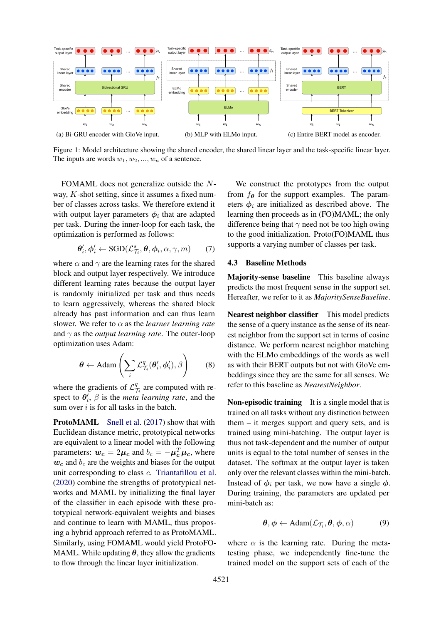<span id="page-4-0"></span>

Figure 1: Model architecture showing the shared encoder, the shared linear layer and the task-specific linear layer. The inputs are words  $w_1, w_2, ..., w_n$  of a sentence.

FOMAML does not generalize outside the Nway, K-shot setting, since it assumes a fixed number of classes across tasks. We therefore extend it with output layer parameters  $\phi_i$  that are adapted per task. During the inner-loop for each task, the optimization is performed as follows:

$$
\boldsymbol{\theta}'_i, \boldsymbol{\phi}'_i \leftarrow \text{SGD}(\mathcal{L}_{\mathcal{T}_i}^s, \boldsymbol{\theta}, \boldsymbol{\phi}_i, \alpha, \gamma, m) \qquad (7)
$$

where  $\alpha$  and  $\gamma$  are the learning rates for the shared block and output layer respectively. We introduce different learning rates because the output layer is randomly initialized per task and thus needs to learn aggressively, whereas the shared block already has past information and can thus learn slower. We refer to  $\alpha$  as the *learner learning rate* and γ as the *output learning rate*. The outer-loop optimization uses Adam:

$$
\boldsymbol{\theta} \leftarrow \text{Adam}\left(\sum_{i} \mathcal{L}_{\mathcal{T}_i}^q(\boldsymbol{\theta}_i', \boldsymbol{\phi}_i'), \beta\right) \qquad (8)
$$

where the gradients of  $\mathcal{L}_7^q$  $\frac{q}{\tau_i}$  are computed with respect to  $\theta'_i$ ,  $\beta$  is the *meta learning rate*, and the sum over  $i$  is for all tasks in the batch.

ProtoMAML [Snell et al.](#page-11-9) [\(2017\)](#page-11-9) show that with Euclidean distance metric, prototypical networks are equivalent to a linear model with the following parameters:  $w_c = 2\mu_c$  and  $b_c = -\mu_c^T \mu_c$ , where  $w_c$  and  $b_c$  are the weights and biases for the output unit corresponding to class c. [Triantafillou et al.](#page-11-5) [\(2020\)](#page-11-5) combine the strengths of prototypical networks and MAML by initializing the final layer of the classifier in each episode with these prototypical network-equivalent weights and biases and continue to learn with MAML, thus proposing a hybrid approach referred to as ProtoMAML. Similarly, using FOMAML would yield ProtoFO-MAML. While updating  $\theta$ , they allow the gradients to flow through the linear layer initialization.

We construct the prototypes from the output from  $f_{\theta}$  for the support examples. The parameters  $\phi_i$  are initialized as described above. The learning then proceeds as in (FO)MAML; the only difference being that  $\gamma$  need not be too high owing to the good initialization. Proto(FO)MAML thus supports a varying number of classes per task.

### 4.3 Baseline Methods

Majority-sense baseline This baseline always predicts the most frequent sense in the support set. Hereafter, we refer to it as *MajoritySenseBaseline*.

Nearest neighbor classifier This model predicts the sense of a query instance as the sense of its nearest neighbor from the support set in terms of cosine distance. We perform nearest neighbor matching with the ELMo embeddings of the words as well as with their BERT outputs but not with GloVe embeddings since they are the same for all senses. We refer to this baseline as *NearestNeighbor*.

Non-episodic training It is a single model that is trained on all tasks without any distinction between them – it merges support and query sets, and is trained using mini-batching. The output layer is thus not task-dependent and the number of output units is equal to the total number of senses in the dataset. The softmax at the output layer is taken only over the relevant classes within the mini-batch. Instead of  $\phi_i$  per task, we now have a single  $\phi$ . During training, the parameters are updated per mini-batch as:

$$
\boldsymbol{\theta}, \boldsymbol{\phi} \leftarrow \text{Adam}(\mathcal{L}_{\mathcal{T}_i}, \boldsymbol{\theta}, \boldsymbol{\phi}, \alpha) \tag{9}
$$

where  $\alpha$  is the learning rate. During the metatesting phase, we independently fine-tune the trained model on the support sets of each of the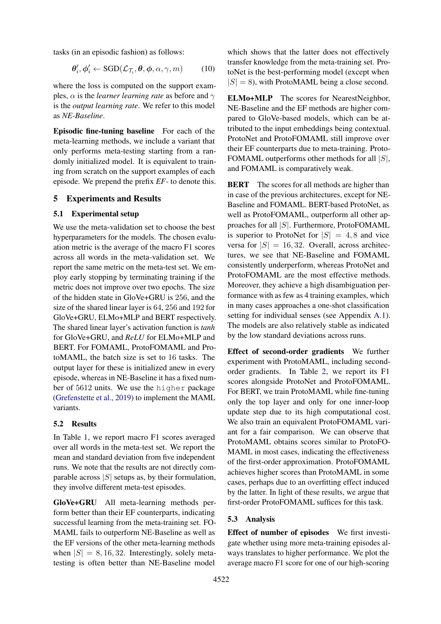tasks (in an episodic fashion) as follows:

$$
\boldsymbol{\theta}'_i, \boldsymbol{\phi}'_i \leftarrow \text{SGD}(\mathcal{L}_{\mathcal{T}_i}, \boldsymbol{\theta}, \boldsymbol{\phi}, \alpha, \gamma, m) \tag{10}
$$

where the loss is computed on the support examples,  $\alpha$  is the *learner learning rate* as before and  $\gamma$ is the *output learning rate*. We refer to this model as *NE-Baseline*.

Episodic fine-tuning baseline For each of the meta-learning methods, we include a variant that only performs meta-testing starting from a randomly initialized model. It is equivalent to training from scratch on the support examples of each episode. We prepend the prefix *EF-* to denote this.

# 5 Experiments and Results

## 5.1 Experimental setup

We use the meta-validation set to choose the best hyperparameters for the models. The chosen evaluation metric is the average of the macro F1 scores across all words in the meta-validation set. We report the same metric on the meta-test set. We employ early stopping by terminating training if the metric does not improve over two epochs. The size of the hidden state in GloVe+GRU is 256, and the size of the shared linear layer is 64, 256 and 192 for GloVe+GRU, ELMo+MLP and BERT respectively. The shared linear layer's activation function is *tanh* for GloVe+GRU, and *ReLU* for ELMo+MLP and BERT. For FOMAML, ProtoFOMAML and ProtoMAML, the batch size is set to 16 tasks. The output layer for these is initialized anew in every episode, whereas in NE-Baseline it has a fixed number of 5612 units. We use the higher package [\(Grefenstette et al.,](#page-9-18) [2019\)](#page-9-18) to implement the MAML variants.

#### 5.2 Results

In Table [1,](#page-6-0) we report macro F1 scores averaged over all words in the meta-test set. We report the mean and standard deviation from five independent runs. We note that the results are not directly comparable across  $|S|$  setups as, by their formulation, they involve different meta-test episodes.

GloVe+GRU All meta-learning methods perform better than their EF counterparts, indicating successful learning from the meta-training set. FO-MAML fails to outperform NE-Baseline as well as the EF versions of the other meta-learning methods when  $|S| = 8, 16, 32$ . Interestingly, solely metatesting is often better than NE-Baseline model

which shows that the latter does not effectively transfer knowledge from the meta-training set. ProtoNet is the best-performing model (except when  $|S| = 8$ ), with ProtoMAML being a close second.

ELMo+MLP The scores for NearestNeighbor, NE-Baseline and the EF methods are higher compared to GloVe-based models, which can be attributed to the input embeddings being contextual. ProtoNet and ProtoFOMAML still improve over their EF counterparts due to meta-training. Proto-FOMAML outperforms other methods for all  $|S|$ , and FOMAML is comparatively weak.

**BERT** The scores for all methods are higher than in case of the previous architectures, except for NE-Baseline and FOMAML. BERT-based ProtoNet, as well as ProtoFOMAML, outperform all other approaches for all |S|. Furthermore, ProtoFOMAML is superior to ProtoNet for  $|S| = 4, 8$  and vice versa for  $|S| = 16, 32$ . Overall, across architectures, we see that NE-Baseline and FOMAML consistently underperform, whereas ProtoNet and ProtoFOMAML are the most effective methods. Moreover, they achieve a high disambiguation performance with as few as 4 training examples, which in many cases approaches a one-shot classification setting for individual senses (see Appendix [A.1\)](#page-12-0). The models are also relatively stable as indicated by the low standard deviations across runs.

Effect of second-order gradients We further experiment with ProtoMAML, including secondorder gradients. In Table [2,](#page-7-0) we report its F1 scores alongside ProtoNet and ProtoFOMAML. For BERT, we train ProtoMAML while fine-tuning only the top layer and only for one inner-loop update step due to its high computational cost. We also train an equivalent ProtoFOMAML variant for a fair comparison. We can observe that ProtoMAML obtains scores similar to ProtoFO-MAML in most cases, indicating the effectiveness of the first-order approximation. ProtoFOMAML achieves higher scores than ProtoMAML in some cases, perhaps due to an overfitting effect induced by the latter. In light of these results, we argue that first-order ProtoFOMAML suffices for this task.

#### 5.3 Analysis

Effect of number of episodes We first investigate whether using more meta-training episodes always translates to higher performance. We plot the average macro F1 score for one of our high-scoring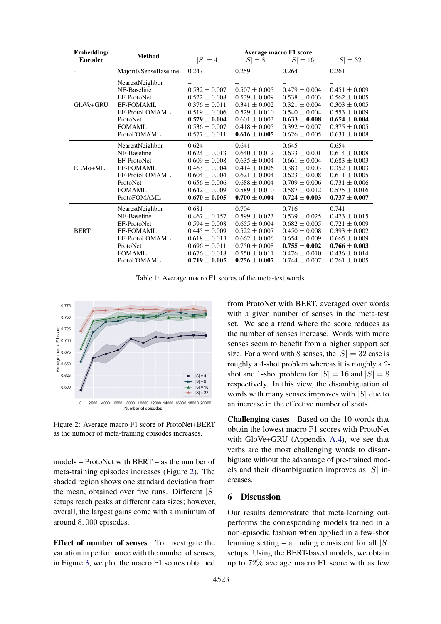<span id="page-6-0"></span>

| Embedding/<br><b>Encoder</b> | <b>Method</b>                                                                                                                   | $ S =4$                                                                                                                                                  | $ S =8$                                                                                                                                                  | <b>Average macro F1 score</b><br>$ S  = 16$                                                                                                              | $ S  = 32$                                                                                                                                               |
|------------------------------|---------------------------------------------------------------------------------------------------------------------------------|----------------------------------------------------------------------------------------------------------------------------------------------------------|----------------------------------------------------------------------------------------------------------------------------------------------------------|----------------------------------------------------------------------------------------------------------------------------------------------------------|----------------------------------------------------------------------------------------------------------------------------------------------------------|
|                              | MajoritySenseBaseline                                                                                                           | 0.247                                                                                                                                                    | 0.259                                                                                                                                                    | 0.264                                                                                                                                                    | 0.261                                                                                                                                                    |
| GloVe+GRU                    | NearestNeighbor<br>NE-Baseline<br>EF-ProtoNet<br><b>EF-FOMAML</b><br>EF-ProtoFOMAML<br>ProtoNet<br>FOMAML                       | $0.532 \pm 0.007$<br>$0.522 \pm 0.008$<br>$0.376 \pm 0.011$<br>$0.519 \pm 0.006$<br>$0.579 \pm 0.004$<br>$0.536 \pm 0.007$                               | $0.507 \pm 0.005$<br>$0.539 + 0.009$<br>$0.341 \pm 0.002$<br>$0.529 \pm 0.010$<br>$0.601 \pm 0.003$<br>$0.418 \pm 0.005$                                 | $0.479 \pm 0.004$<br>$0.538 \pm 0.003$<br>$0.321 \pm 0.004$<br>$0.540 \pm 0.004$<br>$0.633 \pm 0.008$<br>$0.392 \pm 0.007$                               | $0.451 \pm 0.009$<br>$0.562 \pm 0.005$<br>$0.303 \pm 0.005$<br>$0.553 \pm 0.009$<br>$0.654 \pm 0.004$<br>$0.375 \pm 0.005$                               |
|                              | ProtoFOMAML                                                                                                                     | $0.577 \pm 0.011$                                                                                                                                        | $0.616 \pm 0.005$                                                                                                                                        | $0.626 \pm 0.005$                                                                                                                                        | $0.631 \pm 0.008$                                                                                                                                        |
| ELMo+MLP                     | NearestNeighbor<br>NE-Baseline<br>EF-ProtoNet<br><b>EF-FOMAML</b><br>EF-ProtoFOMAML<br>ProtoNet<br><b>FOMAML</b><br>ProtoFOMAML | 0.624<br>$0.624 \pm 0.013$<br>$0.609 \pm 0.008$<br>$0.463 \pm 0.004$<br>$0.604 \pm 0.004$<br>$0.656 \pm 0.006$<br>$0.642 \pm 0.009$<br>$0.670 \pm 0.005$ | 0.641<br>$0.640 \pm 0.012$<br>$0.635 \pm 0.004$<br>$0.414 \pm 0.006$<br>$0.621\pm0.004$<br>$0.688 \pm 0.004$<br>$0.589 \pm 0.010$<br>$0.700 \pm 0.004$   | 0.645<br>$0.633 \pm 0.001$<br>$0.661 \pm 0.004$<br>$0.383 \pm 0.003$<br>$0.623 \pm 0.008$<br>$0.709 \pm 0.006$<br>$0.587 \pm 0.012$<br>$0.724 \pm 0.003$ | 0.654<br>$0.614 \pm 0.008$<br>$0.683 \pm 0.003$<br>$0.352\pm0.003$<br>$0.611 \pm 0.005$<br>$0.731 \pm 0.006$<br>$0.575 \pm 0.016$<br>$0.737 \pm 0.007$   |
| <b>BERT</b>                  | NearestNeighbor<br>NE-Baseline<br>EF-ProtoNet<br><b>EF-FOMAML</b><br>EF-ProtoFOMAML<br>ProtoNet<br><b>FOMAML</b><br>ProtoFOMAML | 0.681<br>$0.467 \pm 0.157$<br>$0.594 \pm 0.008$<br>$0.445 \pm 0.009$<br>$0.618 \pm 0.013$<br>$0.696 \pm 0.011$<br>$0.676 \pm 0.018$<br>$0.719 \pm 0.005$ | 0.704<br>$0.599 \pm 0.023$<br>$0.655 \pm 0.004$<br>$0.522 \pm 0.007$<br>$0.662 \pm 0.006$<br>$0.750 \pm 0.008$<br>$0.550 \pm 0.011$<br>$0.756 \pm 0.007$ | 0.716<br>$0.539 \pm 0.025$<br>$0.682 \pm 0.005$<br>$0.450 \pm 0.008$<br>$0.654 \pm 0.009$<br>$0.755 \pm 0.002$<br>$0.476 \pm 0.010$<br>$0.744 \pm 0.007$ | 0.741<br>$0.473 \pm 0.015$<br>$0.721 \pm 0.009$<br>$0.393 \pm 0.002$<br>$0.665 \pm 0.009$<br>$0.766 \pm 0.003$<br>$0.436 \pm 0.014$<br>$0.761 \pm 0.005$ |

Table 1: Average macro F1 scores of the meta-test words.

<span id="page-6-1"></span>

Figure 2: Average macro F1 score of ProtoNet+BERT as the number of meta-training episodes increases.

models – ProtoNet with BERT – as the number of meta-training episodes increases (Figure [2\)](#page-6-1). The shaded region shows one standard deviation from the mean, obtained over five runs. Different  $|S|$ setups reach peaks at different data sizes; however, overall, the largest gains come with a minimum of around 8, 000 episodes.

Effect of number of senses To investigate the variation in performance with the number of senses, in Figure [3,](#page-7-1) we plot the macro F1 scores obtained

from ProtoNet with BERT, averaged over words with a given number of senses in the meta-test set. We see a trend where the score reduces as the number of senses increase. Words with more senses seem to benefit from a higher support set size. For a word with 8 senses, the  $|S| = 32$  case is roughly a 4-shot problem whereas it is roughly a 2 shot and 1-shot problem for  $|S| = 16$  and  $|S| = 8$ respectively. In this view, the disambiguation of words with many senses improves with  $|S|$  due to an increase in the effective number of shots.

Challenging cases Based on the 10 words that obtain the lowest macro F1 scores with ProtoNet with GloVe+GRU (Appendix [A.4\)](#page-12-1), we see that verbs are the most challenging words to disambiguate without the advantage of pre-trained models and their disambiguation improves as  $|S|$  increases.

## 6 Discussion

Our results demonstrate that meta-learning outperforms the corresponding models trained in a non-episodic fashion when applied in a few-shot learning setting – a finding consistent for all  $|S|$ setups. Using the BERT-based models, we obtain up to 72% average macro F1 score with as few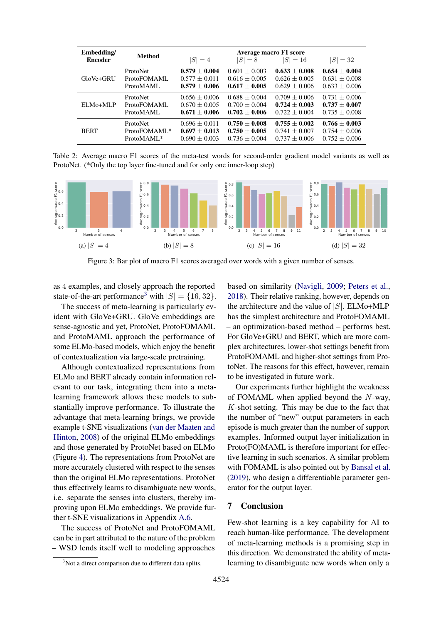<span id="page-7-0"></span>

| Embedding/     | <b>Method</b>   | Average macro F1 score |                   |                 |                   |  |
|----------------|-----------------|------------------------|-------------------|-----------------|-------------------|--|
| <b>Encoder</b> |                 | $ S =4$                | $ S =8$           | $ S  = 16$      | $ S  = 32$        |  |
| GloVe+GRU      | <b>ProtoNet</b> | $0.579 + 0.004$        | $0.601 + 0.003$   | $0.633 + 0.008$ | $0.654 \pm 0.004$ |  |
|                | ProtoFOMAML     | $0.577 + 0.011$        | $0.616 + 0.005$   | $0.626 + 0.005$ | $0.631 + 0.008$   |  |
|                | ProtoMAML       | $0.579 + 0.006$        | $0.617 + 0.005$   | $0.629 + 0.006$ | $0.633 \pm 0.006$ |  |
| ELM0+MLP       | <b>ProtoNet</b> | $0.656 + 0.006$        | $0.688 + 0.004$   | $0.709 + 0.006$ | $0.731 + 0.006$   |  |
|                | ProtoFOMAML     | $0.670 \pm 0.005$      | $0.700 + 0.004$   | $0.724 + 0.003$ | $0.737 + 0.007$   |  |
|                | ProtoMAML       | $0.671 + 0.006$        | $0.702 + 0.006$   | $0.722 + 0.004$ | $0.735 \pm 0.008$ |  |
| <b>BERT</b>    | ProtoNet        | $0.696 \pm 0.011$      | $0.750 + 0.008$   | $0.755 + 0.002$ | $0.766 \pm 0.003$ |  |
|                | ProtoFOMAML*    | $0.697 + 0.013$        | $0.750 \pm 0.005$ | $0.741 + 0.007$ | $0.754 + 0.006$   |  |
|                | ProtoMAML*      | $0.690 \pm 0.003$      | $0.736 + 0.004$   | $0.737 + 0.006$ | $0.752 \pm 0.006$ |  |

Table 2: Average macro F1 scores of the meta-test words for second-order gradient model variants as well as ProtoNet. (\*Only the top layer fine-tuned and for only one inner-loop step)

<span id="page-7-1"></span>

Figure 3: Bar plot of macro F1 scores averaged over words with a given number of senses.

as 4 examples, and closely approach the reported state-of-the-art performance<sup>[3](#page-7-2)</sup> with  $|S| = \{16, 32\}.$ 

The success of meta-learning is particularly evident with GloVe+GRU. GloVe embeddings are sense-agnostic and yet, ProtoNet, ProtoFOMAML and ProtoMAML approach the performance of some ELMo-based models, which enjoy the benefit of contextualization via large-scale pretraining.

Although contextualized representations from ELMo and BERT already contain information relevant to our task, integrating them into a metalearning framework allows these models to substantially improve performance. To illustrate the advantage that meta-learning brings, we provide example t-SNE visualizations [\(van der Maaten and](#page-10-18) [Hinton,](#page-10-18) [2008\)](#page-10-18) of the original ELMo embeddings and those generated by ProtoNet based on ELMo (Figure [4\)](#page-8-12). The representations from ProtoNet are more accurately clustered with respect to the senses than the original ELMo representations. ProtoNet thus effectively learns to disambiguate new words, i.e. separate the senses into clusters, thereby improving upon ELMo embeddings. We provide further t-SNE visualizations in Appendix [A.6.](#page-13-0)

The success of ProtoNet and ProtoFOMAML can be in part attributed to the nature of the problem – WSD lends itself well to modeling approaches

based on similarity [\(Navigli,](#page-10-0) [2009;](#page-10-0) [Peters et al.,](#page-10-14) [2018\)](#page-10-14). Their relative ranking, however, depends on the architecture and the value of  $|S|$ . ELMo+MLP has the simplest architecture and ProtoFOMAML – an optimization-based method – performs best. For GloVe+GRU and BERT, which are more complex architectures, lower-shot settings benefit from ProtoFOMAML and higher-shot settings from ProtoNet. The reasons for this effect, however, remain to be investigated in future work.

Our experiments further highlight the weakness of FOMAML when applied beyond the N-way, K-shot setting. This may be due to the fact that the number of "new" output parameters in each episode is much greater than the number of support examples. Informed output layer initialization in Proto(FO)MAML is therefore important for effective learning in such scenarios. A similar problem with FOMAML is also pointed out by [Bansal et al.](#page-8-6) [\(2019\)](#page-8-6), who design a differentiable parameter generator for the output layer.

# 7 Conclusion

Few-shot learning is a key capability for AI to reach human-like performance. The development of meta-learning methods is a promising step in this direction. We demonstrated the ability of metalearning to disambiguate new words when only a

<span id="page-7-2"></span><sup>&</sup>lt;sup>3</sup>Not a direct comparison due to different data splits.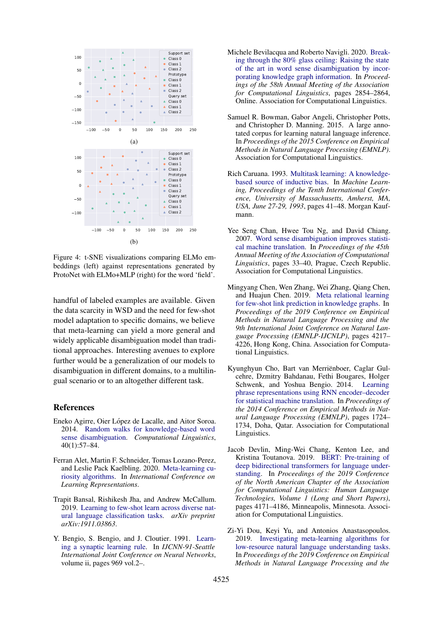<span id="page-8-12"></span>

Figure 4: t-SNE visualizations comparing ELMo embeddings (left) against representations generated by ProtoNet with ELMo+MLP (right) for the word 'field'.

handful of labeled examples are available. Given the data scarcity in WSD and the need for few-shot model adaptation to specific domains, we believe that meta-learning can yield a more general and widely applicable disambiguation model than traditional approaches. Interesting avenues to explore further would be a generalization of our models to disambiguation in different domains, to a multilingual scenario or to an altogether different task.

### References

- <span id="page-8-1"></span>Eneko Agirre, Oier López de Lacalle, and Aitor Soroa. 2014. [Random walks for knowledge-based word](https://doi.org/10.1162/COLI_a_00164) [sense disambiguation.](https://doi.org/10.1162/COLI_a_00164) *Computational Linguistics*, 40(1):57–84.
- <span id="page-8-4"></span>Ferran Alet, Martin F. Schneider, Tomas Lozano-Perez, and Leslie Pack Kaelbling. 2020. [Meta-learning cu](https://openreview.net/forum?id=BygdyxHFDS)[riosity algorithms.](https://openreview.net/forum?id=BygdyxHFDS) In *International Conference on Learning Representations*.
- <span id="page-8-6"></span>Trapit Bansal, Rishikesh Jha, and Andrew McCallum. 2019. [Learning to few-shot learn across diverse nat](https://arxiv.org/abs/1911.03863)[ural language classification tasks.](https://arxiv.org/abs/1911.03863) *arXiv preprint arXiv:1911.03863*.
- <span id="page-8-3"></span>Y. Bengio, S. Bengio, and J. Cloutier. 1991. [Learn](https://doi.org/10.1109/IJCNN.1991.155621)[ing a synaptic learning rule.](https://doi.org/10.1109/IJCNN.1991.155621) In *IJCNN-91-Seattle International Joint Conference on Neural Networks*, volume ii, pages 969 vol.2–.
- <span id="page-8-10"></span>Michele Bevilacqua and Roberto Navigli. 2020. [Break](https://doi.org/10.18653/v1/2020.acl-main.255)[ing through the 80% glass ceiling: Raising the state](https://doi.org/10.18653/v1/2020.acl-main.255) [of the art in word sense disambiguation by incor](https://doi.org/10.18653/v1/2020.acl-main.255)[porating knowledge graph information.](https://doi.org/10.18653/v1/2020.acl-main.255) In *Proceedings of the 58th Annual Meeting of the Association for Computational Linguistics*, pages 2854–2864, Online. Association for Computational Linguistics.
- <span id="page-8-8"></span>Samuel R. Bowman, Gabor Angeli, Christopher Potts, and Christopher D. Manning. 2015. A large annotated corpus for learning natural language inference. In *Proceedings of the 2015 Conference on Empirical Methods in Natural Language Processing (EMNLP)*. Association for Computational Linguistics.
- <span id="page-8-2"></span>Rich Caruana. 1993. [Multitask learning: A knowledge](https://doi.org/10.1016/b978-1-55860-307-3.50012-5)[based source of inductive bias.](https://doi.org/10.1016/b978-1-55860-307-3.50012-5) In *Machine Learning, Proceedings of the Tenth International Conference, University of Massachusetts, Amherst, MA, USA, June 27-29, 1993*, pages 41–48. Morgan Kaufmann.
- <span id="page-8-0"></span>Yee Seng Chan, Hwee Tou Ng, and David Chiang. 2007. [Word sense disambiguation improves statisti](https://www.aclweb.org/anthology/P07-1005)[cal machine translation.](https://www.aclweb.org/anthology/P07-1005) In *Proceedings of the 45th Annual Meeting of the Association of Computational Linguistics*, pages 33–40, Prague, Czech Republic. Association for Computational Linguistics.
- <span id="page-8-7"></span>Mingyang Chen, Wen Zhang, Wei Zhang, Qiang Chen, and Huajun Chen. 2019. [Meta relational learning](https://doi.org/10.18653/v1/D19-1431) [for few-shot link prediction in knowledge graphs.](https://doi.org/10.18653/v1/D19-1431) In *Proceedings of the 2019 Conference on Empirical Methods in Natural Language Processing and the 9th International Joint Conference on Natural Language Processing (EMNLP-IJCNLP)*, pages 4217– 4226, Hong Kong, China. Association for Computational Linguistics.
- <span id="page-8-11"></span>Kyunghyun Cho, Bart van Merriënboer, Caglar Gulcehre, Dzmitry Bahdanau, Fethi Bougares, Holger Schwenk, and Yoshua Bengio. 2014. [Learning](https://doi.org/10.3115/v1/D14-1179) [phrase representations using RNN encoder–decoder](https://doi.org/10.3115/v1/D14-1179) [for statistical machine translation.](https://doi.org/10.3115/v1/D14-1179) In *Proceedings of the 2014 Conference on Empirical Methods in Natural Language Processing (EMNLP)*, pages 1724– 1734, Doha, Qatar. Association for Computational Linguistics.
- <span id="page-8-9"></span>Jacob Devlin, Ming-Wei Chang, Kenton Lee, and Kristina Toutanova. 2019. [BERT: Pre-training of](https://doi.org/10.18653/v1/N19-1423) [deep bidirectional transformers for language under](https://doi.org/10.18653/v1/N19-1423)[standing.](https://doi.org/10.18653/v1/N19-1423) In *Proceedings of the 2019 Conference of the North American Chapter of the Association for Computational Linguistics: Human Language Technologies, Volume 1 (Long and Short Papers)*, pages 4171–4186, Minneapolis, Minnesota. Association for Computational Linguistics.
- <span id="page-8-5"></span>Zi-Yi Dou, Keyi Yu, and Antonios Anastasopoulos. 2019. [Investigating meta-learning algorithms for](https://doi.org/10.18653/v1/D19-1112) [low-resource natural language understanding tasks.](https://doi.org/10.18653/v1/D19-1112) In *Proceedings of the 2019 Conference on Empirical Methods in Natural Language Processing and the*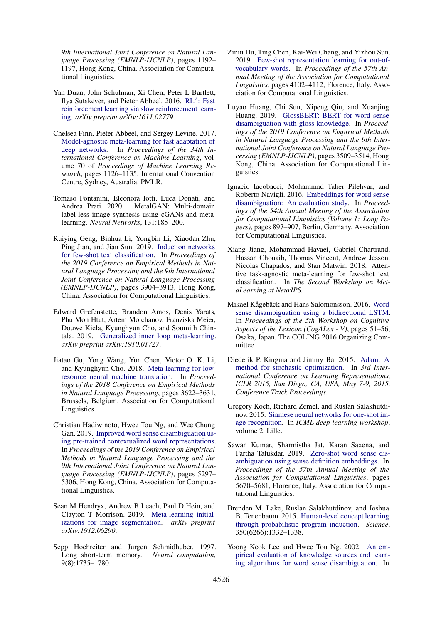*9th International Joint Conference on Natural Language Processing (EMNLP-IJCNLP)*, pages 1192– 1197, Hong Kong, China. Association for Computational Linguistics.

- <span id="page-9-5"></span>Yan Duan, John Schulman, Xi Chen, Peter L Bartlett, Ilya Sutskever, and Pieter Abbeel. 2016. RL<sup>2</sup>[: Fast](https://arxiv.org/abs/1611.02779) [reinforcement learning via slow reinforcement learn](https://arxiv.org/abs/1611.02779)[ing.](https://arxiv.org/abs/1611.02779) *arXiv preprint arXiv:1611.02779*.
- <span id="page-9-7"></span>Chelsea Finn, Pieter Abbeel, and Sergey Levine. 2017. [Model-agnostic meta-learning for fast adaptation of](http://proceedings.mlr.press/v70/finn17a.html) [deep networks.](http://proceedings.mlr.press/v70/finn17a.html) In *Proceedings of the 34th International Conference on Machine Learning*, volume 70 of *Proceedings of Machine Learning Research*, pages 1126–1135, International Convention Centre, Sydney, Australia. PMLR.
- <span id="page-9-3"></span>Tomaso Fontanini, Eleonora Iotti, Luca Donati, and MetalGAN: Multi-domain label-less image synthesis using cGANs and metalearning. *Neural Networks*, 131:185–200.
- <span id="page-9-9"></span>Ruiying Geng, Binhua Li, Yongbin Li, Xiaodan Zhu, Ping Jian, and Jian Sun. 2019. [Induction networks](https://doi.org/10.18653/v1/D19-1403) [for few-shot text classification.](https://doi.org/10.18653/v1/D19-1403) In *Proceedings of the 2019 Conference on Empirical Methods in Natural Language Processing and the 9th International Joint Conference on Natural Language Processing (EMNLP-IJCNLP)*, pages 3904–3913, Hong Kong, China. Association for Computational Linguistics.
- <span id="page-9-18"></span>Edward Grefenstette, Brandon Amos, Denis Yarats, Phu Mon Htut, Artem Molchanov, Franziska Meier, Douwe Kiela, Kyunghyun Cho, and Soumith Chintala. 2019. [Generalized inner loop meta-learning.](https://arxiv.org/abs/1910.01727) *arXiv preprint arXiv:1910.01727*.
- <span id="page-9-6"></span>Jiatao Gu, Yong Wang, Yun Chen, Victor O. K. Li, and Kyunghyun Cho. 2018. [Meta-learning for low](https://doi.org/10.18653/v1/D18-1398)[resource neural machine translation.](https://doi.org/10.18653/v1/D18-1398) In *Proceedings of the 2018 Conference on Empirical Methods in Natural Language Processing*, pages 3622–3631, Brussels, Belgium. Association for Computational Linguistics.
- <span id="page-9-15"></span>Christian Hadiwinoto, Hwee Tou Ng, and Wee Chung Gan. 2019. [Improved word sense disambiguation us](https://doi.org/10.18653/v1/D19-1533)[ing pre-trained contextualized word representations.](https://doi.org/10.18653/v1/D19-1533) In *Proceedings of the 2019 Conference on Empirical Methods in Natural Language Processing and the 9th International Joint Conference on Natural Language Processing (EMNLP-IJCNLP)*, pages 5297– 5306, Hong Kong, China. Association for Computational Linguistics.
- <span id="page-9-4"></span>Sean M Hendryx, Andrew B Leach, Paul D Hein, and Clayton T Morrison. 2019. [Meta-learning initial](https://arxiv.org/abs/1912.06290)[izations for image segmentation.](https://arxiv.org/abs/1912.06290) *arXiv preprint arXiv:1912.06290*.
- <span id="page-9-14"></span>Sepp Hochreiter and Jürgen Schmidhuber. 1997. Long short-term memory. *Neural computation*, 9(8):1735–1780.
- <span id="page-9-11"></span>Ziniu Hu, Ting Chen, Kai-Wei Chang, and Yizhou Sun. 2019. [Few-shot representation learning for out-of](https://doi.org/10.18653/v1/P19-1402)[vocabulary words.](https://doi.org/10.18653/v1/P19-1402) In *Proceedings of the 57th Annual Meeting of the Association for Computational Linguistics*, pages 4102–4112, Florence, Italy. Association for Computational Linguistics.
- <span id="page-9-16"></span>Luyao Huang, Chi Sun, Xipeng Qiu, and Xuanjing Huang. 2019. [GlossBERT: BERT for word sense](https://doi.org/10.18653/v1/D19-1355) [disambiguation with gloss knowledge.](https://doi.org/10.18653/v1/D19-1355) In *Proceedings of the 2019 Conference on Empirical Methods in Natural Language Processing and the 9th International Joint Conference on Natural Language Processing (EMNLP-IJCNLP)*, pages 3509–3514, Hong Kong, China. Association for Computational Linguistics.
- <span id="page-9-13"></span>Ignacio Iacobacci, Mohammad Taher Pilehvar, and Roberto Navigli. 2016. [Embeddings for word sense](https://doi.org/10.18653/v1/P16-1085) [disambiguation: An evaluation study.](https://doi.org/10.18653/v1/P16-1085) In *Proceedings of the 54th Annual Meeting of the Association for Computational Linguistics (Volume 1: Long Papers)*, pages 897–907, Berlin, Germany. Association for Computational Linguistics.
- <span id="page-9-10"></span>Xiang Jiang, Mohammad Havaei, Gabriel Chartrand, Hassan Chouaib, Thomas Vincent, Andrew Jesson, Nicolas Chapados, and Stan Matwin. 2018. Attentive task-agnostic meta-learning for few-shot text classification. In *The Second Workshop on MetaLearning at NeurIPS.*
- <span id="page-9-0"></span>Mikael Kågebäck and Hans Salomonsson. 2016. [Word](https://www.aclweb.org/anthology/W16-5307) [sense disambiguation using a bidirectional LSTM.](https://www.aclweb.org/anthology/W16-5307) In *Proceedings of the 5th Workshop on Cognitive Aspects of the Lexicon (CogALex - V)*, pages 51–56, Osaka, Japan. The COLING 2016 Organizing Committee.
- <span id="page-9-17"></span>Diederik P. Kingma and Jimmy Ba. 2015. [Adam: A](http://arxiv.org/abs/1412.6980) [method for stochastic optimization.](http://arxiv.org/abs/1412.6980) In *3rd International Conference on Learning Representations, ICLR 2015, San Diego, CA, USA, May 7-9, 2015, Conference Track Proceedings*.
- <span id="page-9-8"></span>Gregory Koch, Richard Zemel, and Ruslan Salakhutdinov. 2015. [Siamese neural networks for one-shot im](http://www.cs.toronto.edu/~gkoch/files/msc-thesis.pdf)[age recognition.](http://www.cs.toronto.edu/~gkoch/files/msc-thesis.pdf) In *ICML deep learning workshop*, volume 2. Lille.
- <span id="page-9-1"></span>Sawan Kumar, Sharmistha Jat, Karan Saxena, and Partha Talukdar. 2019. [Zero-shot word sense dis](https://doi.org/10.18653/v1/P19-1568)[ambiguation using sense definition embeddings.](https://doi.org/10.18653/v1/P19-1568) In *Proceedings of the 57th Annual Meeting of the Association for Computational Linguistics*, pages 5670–5681, Florence, Italy. Association for Computational Linguistics.
- <span id="page-9-2"></span>Brenden M. Lake, Ruslan Salakhutdinov, and Joshua B. Tenenbaum. 2015. [Human-level concept learning](https://doi.org/10.1126/science.aab3050) [through probabilistic program induction.](https://doi.org/10.1126/science.aab3050) *Science*, 350(6266):1332–1338.
- <span id="page-9-12"></span>Yoong Keok Lee and Hwee Tou Ng. 2002. [An em](https://doi.org/10.3115/1118693.1118699)[pirical evaluation of knowledge sources and learn](https://doi.org/10.3115/1118693.1118699)[ing algorithms for word sense disambiguation.](https://doi.org/10.3115/1118693.1118699) In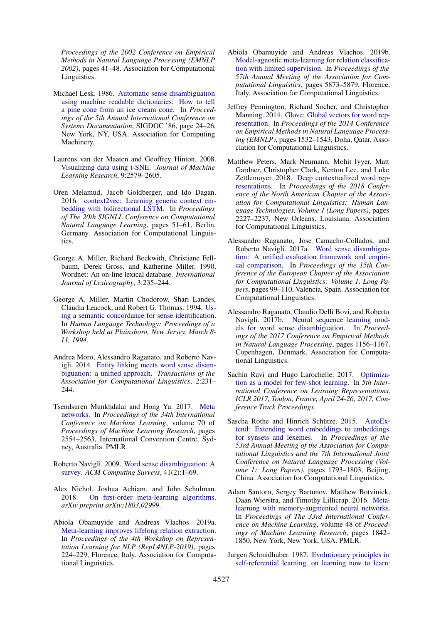*Proceedings of the 2002 Conference on Empirical Methods in Natural Language Processing (EMNLP 2002)*, pages 41–48. Association for Computational Linguistics.

- <span id="page-10-2"></span>Michael Lesk. 1986. [Automatic sense disambiguation](https://doi.org/10.1145/318723.318728) [using machine readable dictionaries: How to tell](https://doi.org/10.1145/318723.318728) [a pine cone from an ice cream cone.](https://doi.org/10.1145/318723.318728) In *Proceedings of the 5th Annual International Conference on Systems Documentation*, SIGDOC '86, page 24–26, New York, NY, USA. Association for Computing Machinery.
- <span id="page-10-18"></span>Laurens van der Maaten and Geoffrey Hinton. 2008. [Visualizing data using t-SNE.](http://www.jmlr.org/papers/v9/vandermaaten08a.html) *Journal of Machine Learning Research*, 9:2579–2605.
- <span id="page-10-1"></span>Oren Melamud, Jacob Goldberger, and Ido Dagan. 2016. [context2vec: Learning generic context em](https://doi.org/10.18653/v1/K16-1006)[bedding with bidirectional LSTM.](https://doi.org/10.18653/v1/K16-1006) In *Proceedings of The 20th SIGNLL Conference on Computational Natural Language Learning*, pages 51–61, Berlin, Germany. Association for Computational Linguistics.
- <span id="page-10-15"></span>George A. Miller, Richard Beckwith, Christiane Fellbaum, Derek Gross, and Katherine Miller. 1990. Wordnet: An on-line lexical database. *International Journal of Lexicography*, 3:235–244.
- <span id="page-10-16"></span>George A. Miller, Martin Chodorow, Shari Landes, Claudia Leacock, and Robert G. Thomas. 1994. [Us](https://www.aclweb.org/anthology/H94-1046)[ing a semantic concordance for sense identification.](https://www.aclweb.org/anthology/H94-1046) In *Human Language Technology: Proceedings of a Workshop held at Plainsboro, New Jersey, March 8- 11, 1994*.
- <span id="page-10-3"></span>Andrea Moro, Alessandro Raganato, and Roberto Navigli. 2014. [Entity linking meets word sense disam](https://doi.org/10.1162/tacl_a_00179)[biguation: a unified approach.](https://doi.org/10.1162/tacl_a_00179) *Transactions of the Association for Computational Linguistics*, 2:231– 244.
- <span id="page-10-9"></span>Tsendsuren Munkhdalai and Hong Yu. 2017. [Meta](http://proceedings.mlr.press/v70/munkhdalai17a.html) [networks.](http://proceedings.mlr.press/v70/munkhdalai17a.html) In *Proceedings of the 34th International Conference on Machine Learning*, volume 70 of *Proceedings of Machine Learning Research*, pages 2554–2563, International Convention Centre, Sydney, Australia. PMLR.
- <span id="page-10-0"></span>Roberto Navigli. 2009. [Word sense disambiguation: A](https://doi.org/10.1145/1459352.1459355) [survey.](https://doi.org/10.1145/1459352.1459355) *ACM Computing Surveys*, 41(2):1–69.
- <span id="page-10-11"></span>Alex Nichol, Joshua Achiam, and John Schulman.<br>2018. On first-order meta-learning algorithms. [On first-order meta-learning algorithms.](https://arxiv.org/abs/1803.02999) *arXiv preprint arXiv:1803.02999*.
- <span id="page-10-12"></span>Abiola Obamuyide and Andreas Vlachos. 2019a. [Meta-learning improves lifelong relation extraction.](https://doi.org/10.18653/v1/W19-4326) In *Proceedings of the 4th Workshop on Representation Learning for NLP (RepL4NLP-2019)*, pages 224–229, Florence, Italy. Association for Computational Linguistics.
- <span id="page-10-7"></span>Abiola Obamuyide and Andreas Vlachos. 2019b. [Model-agnostic meta-learning for relation classifica](https://doi.org/10.18653/v1/P19-1589)[tion with limited supervision.](https://doi.org/10.18653/v1/P19-1589) In *Proceedings of the 57th Annual Meeting of the Association for Computational Linguistics*, pages 5873–5879, Florence, Italy. Association for Computational Linguistics.
- <span id="page-10-17"></span>Jeffrey Pennington, Richard Socher, and Christopher Manning. 2014. [Glove: Global vectors for word rep](https://doi.org/10.3115/v1/D14-1162)[resentation.](https://doi.org/10.3115/v1/D14-1162) In *Proceedings of the 2014 Conference on Empirical Methods in Natural Language Processing (EMNLP)*, pages 1532–1543, Doha, Qatar. Association for Computational Linguistics.
- <span id="page-10-14"></span>Matthew Peters, Mark Neumann, Mohit Iyyer, Matt Gardner, Christopher Clark, Kenton Lee, and Luke Zettlemoyer. 2018. [Deep contextualized word rep](https://doi.org/10.18653/v1/N18-1202)[resentations.](https://doi.org/10.18653/v1/N18-1202) In *Proceedings of the 2018 Conference of the North American Chapter of the Association for Computational Linguistics: Human Language Technologies, Volume 1 (Long Papers)*, pages 2227–2237, New Orleans, Louisiana. Association for Computational Linguistics.
- <span id="page-10-4"></span>Alessandro Raganato, Jose Camacho-Collados, and Roberto Navigli. 2017a. [Word sense disambigua](https://www.aclweb.org/anthology/E17-1010)[tion: A unified evaluation framework and empiri](https://www.aclweb.org/anthology/E17-1010)[cal comparison.](https://www.aclweb.org/anthology/E17-1010) In *Proceedings of the 15th Conference of the European Chapter of the Association for Computational Linguistics: Volume 1, Long Papers*, pages 99–110, Valencia, Spain. Association for Computational Linguistics.
- <span id="page-10-5"></span>Alessandro Raganato, Claudio Delli Bovi, and Roberto Navigli. 2017b. [Neural sequence learning mod](https://doi.org/10.18653/v1/D17-1120)[els for word sense disambiguation.](https://doi.org/10.18653/v1/D17-1120) In *Proceedings of the 2017 Conference on Empirical Methods in Natural Language Processing*, pages 1156–1167, Copenhagen, Denmark. Association for Computational Linguistics.
- <span id="page-10-10"></span>Sachin Ravi and Hugo Larochelle. 2017. [Optimiza](https://openreview.net/forum?id=rJY0-Kcll)[tion as a model for few-shot learning.](https://openreview.net/forum?id=rJY0-Kcll) In *5th International Conference on Learning Representations, ICLR 2017, Toulon, France, April 24-26, 2017, Conference Track Proceedings*.
- <span id="page-10-13"></span>Sascha Rothe and Hinrich Schütze. 2015. [AutoEx](https://doi.org/10.3115/v1/P15-1173)[tend: Extending word embeddings to embeddings](https://doi.org/10.3115/v1/P15-1173) [for synsets and lexemes.](https://doi.org/10.3115/v1/P15-1173) In *Proceedings of the 53rd Annual Meeting of the Association for Computational Linguistics and the 7th International Joint Conference on Natural Language Processing (Volume 1: Long Papers)*, pages 1793–1803, Beijing, China. Association for Computational Linguistics.
- <span id="page-10-8"></span>Adam Santoro, Sergey Bartunov, Matthew Botvinick, Daan Wierstra, and Timothy Lillicrap. 2016. [Meta](http://proceedings.mlr.press/v48/santoro16.html)[learning with memory-augmented neural networks.](http://proceedings.mlr.press/v48/santoro16.html) In *Proceedings of The 33rd International Conference on Machine Learning*, volume 48 of *Proceedings of Machine Learning Research*, pages 1842– 1850, New York, New York, USA. PMLR.
- <span id="page-10-6"></span>Jurgen Schmidhuber. 1987. [Evolutionary principles in](http://www.idsia.ch/~juergen/diploma.html) [self-referential learning. on learning now to learn:](http://www.idsia.ch/~juergen/diploma.html)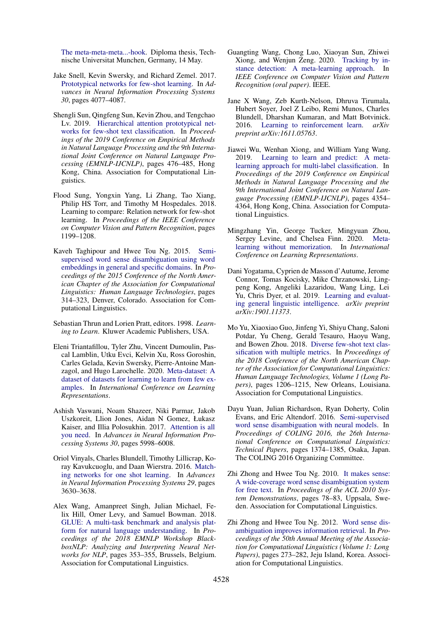[The meta-meta-meta...-hook.](http://www.idsia.ch/~juergen/diploma.html) Diploma thesis, Technische Universitat Munchen, Germany, 14 May.

- <span id="page-11-9"></span>Jake Snell, Kevin Swersky, and Richard Zemel. 2017. [Prototypical networks for few-shot learning.](http://papers.nips.cc/paper/6996-prototypical-networks-for-few-shot-learning.pdf) In *Advances in Neural Information Processing Systems 30*, pages 4077–4087.
- <span id="page-11-14"></span>Shengli Sun, Qingfeng Sun, Kevin Zhou, and Tengchao Lv. 2019. [Hierarchical attention prototypical net](https://doi.org/10.18653/v1/D19-1045)[works for few-shot text classification.](https://doi.org/10.18653/v1/D19-1045) In *Proceedings of the 2019 Conference on Empirical Methods in Natural Language Processing and the 9th International Joint Conference on Natural Language Processing (EMNLP-IJCNLP)*, pages 476–485, Hong Kong, China. Association for Computational Linguistics.
- <span id="page-11-12"></span>Flood Sung, Yongxin Yang, Li Zhang, Tao Xiang, Philip HS Torr, and Timothy M Hospedales. 2018. Learning to compare: Relation network for few-shot learning. In *Proceedings of the IEEE Conference on Computer Vision and Pattern Recognition*, pages 1199–1208.
- <span id="page-11-16"></span>Kaveh Taghipour and Hwee Tou Ng. 2015. [Semi](https://doi.org/10.3115/v1/N15-1035)[supervised word sense disambiguation using word](https://doi.org/10.3115/v1/N15-1035) [embeddings in general and specific domains.](https://doi.org/10.3115/v1/N15-1035) In *Proceedings of the 2015 Conference of the North American Chapter of the Association for Computational Linguistics: Human Language Technologies*, pages 314–323, Denver, Colorado. Association for Computational Linguistics.
- <span id="page-11-4"></span>Sebastian Thrun and Lorien Pratt, editors. 1998. *Learning to Learn*. Kluwer Academic Publishers, USA.
- <span id="page-11-5"></span>Eleni Triantafillou, Tyler Zhu, Vincent Dumoulin, Pascal Lamblin, Utku Evci, Kelvin Xu, Ross Goroshin, Carles Gelada, Kevin Swersky, Pierre-Antoine Manzagol, and Hugo Larochelle. 2020. [Meta-dataset: A](https://openreview.net/forum?id=rkgAGAVKPr) [dataset of datasets for learning to learn from few ex](https://openreview.net/forum?id=rkgAGAVKPr)[amples.](https://openreview.net/forum?id=rkgAGAVKPr) In *International Conference on Learning Representations*.
- <span id="page-11-10"></span>Ashish Vaswani, Noam Shazeer, Niki Parmar, Jakob Uszkoreit, Llion Jones, Aidan N Gomez, Łukasz Kaiser, and Illia Polosukhin. 2017. [Attention is all](http://papers.nips.cc/paper/7181-attention-is-all-you-need.pdf) [you need.](http://papers.nips.cc/paper/7181-attention-is-all-you-need.pdf) In *Advances in Neural Information Processing Systems 30*, pages 5998–6008.
- <span id="page-11-11"></span>Oriol Vinyals, Charles Blundell, Timothy Lillicrap, Koray Kavukcuoglu, and Daan Wierstra. 2016. [Match](http://papers.nips.cc/paper/6385-matching-networks-for-one-shot-learning.pdf)[ing networks for one shot learning.](http://papers.nips.cc/paper/6385-matching-networks-for-one-shot-learning.pdf) In *Advances in Neural Information Processing Systems 29*, pages 3630–3638.
- <span id="page-11-13"></span>Alex Wang, Amanpreet Singh, Julian Michael, Felix Hill, Omer Levy, and Samuel Bowman. 2018. [GLUE: A multi-task benchmark and analysis plat](https://doi.org/10.18653/v1/W18-5446)[form for natural language understanding.](https://doi.org/10.18653/v1/W18-5446) In *Proceedings of the 2018 EMNLP Workshop BlackboxNLP: Analyzing and Interpreting Neural Networks for NLP*, pages 353–355, Brussels, Belgium. Association for Computational Linguistics.
- <span id="page-11-6"></span>Guangting Wang, Chong Luo, Xiaoyan Sun, Zhiwei Xiong, and Wenjun Zeng. 2020. [Tracking by in](https://www.microsoft.com/en-us/research/publication/tracking-by-instance-detection-a-meta-learning-approach/)[stance detection: A meta-learning approach.](https://www.microsoft.com/en-us/research/publication/tracking-by-instance-detection-a-meta-learning-approach/) In *IEEE Conference on Computer Vision and Pattern Recognition (oral paper)*. IEEE.
- <span id="page-11-7"></span>Jane X Wang, Zeb Kurth-Nelson, Dhruva Tirumala, Hubert Soyer, Joel Z Leibo, Remi Munos, Charles Blundell, Dharshan Kumaran, and Matt Botvinick. 2016. [Learning to reinforcement learn.](https://arxiv.org/abs/1611.05763) *arXiv preprint arXiv:1611.05763*.
- <span id="page-11-15"></span>Jiawei Wu, Wenhan Xiong, and William Yang Wang. 2019. [Learning to learn and predict: A meta](https://doi.org/10.18653/v1/D19-1444)[learning approach for multi-label classification.](https://doi.org/10.18653/v1/D19-1444) In *Proceedings of the 2019 Conference on Empirical Methods in Natural Language Processing and the 9th International Joint Conference on Natural Language Processing (EMNLP-IJCNLP)*, pages 4354– 4364, Hong Kong, China. Association for Computational Linguistics.
- <span id="page-11-17"></span>Mingzhang Yin, George Tucker, Mingyuan Zhou, Sergey Levine, and Chelsea Finn. 2020. [Meta](https://openreview.net/forum?id=BklEFpEYwS)[learning without memorization.](https://openreview.net/forum?id=BklEFpEYwS) In *International Conference on Learning Representations*.
- <span id="page-11-3"></span>Dani Yogatama, Cyprien de Masson d'Autume, Jerome Connor, Tomas Kocisky, Mike Chrzanowski, Lingpeng Kong, Angeliki Lazaridou, Wang Ling, Lei Yu, Chris Dyer, et al. 2019. [Learning and evaluat](https://arxiv.org/abs/1901.11373)[ing general linguistic intelligence.](https://arxiv.org/abs/1901.11373) *arXiv preprint arXiv:1901.11373*.
- <span id="page-11-8"></span>Mo Yu, Xiaoxiao Guo, Jinfeng Yi, Shiyu Chang, Saloni Potdar, Yu Cheng, Gerald Tesauro, Haoyu Wang, and Bowen Zhou. 2018. [Diverse few-shot text clas](https://doi.org/10.18653/v1/N18-1109)[sification with multiple metrics.](https://doi.org/10.18653/v1/N18-1109) In *Proceedings of the 2018 Conference of the North American Chapter of the Association for Computational Linguistics: Human Language Technologies, Volume 1 (Long Papers)*, pages 1206–1215, New Orleans, Louisiana. Association for Computational Linguistics.
- <span id="page-11-2"></span>Dayu Yuan, Julian Richardson, Ryan Doherty, Colin Evans, and Eric Altendorf. 2016. [Semi-supervised](https://www.aclweb.org/anthology/C16-1130) [word sense disambiguation with neural models.](https://www.aclweb.org/anthology/C16-1130) In *Proceedings of COLING 2016, the 26th International Conference on Computational Linguistics: Technical Papers*, pages 1374–1385, Osaka, Japan. The COLING 2016 Organizing Committee.
- <span id="page-11-1"></span>Zhi Zhong and Hwee Tou Ng. 2010. [It makes sense:](https://www.aclweb.org/anthology/P10-4014) [A wide-coverage word sense disambiguation system](https://www.aclweb.org/anthology/P10-4014) [for free text.](https://www.aclweb.org/anthology/P10-4014) In *Proceedings of the ACL 2010 System Demonstrations*, pages 78–83, Uppsala, Sweden. Association for Computational Linguistics.
- <span id="page-11-0"></span>Zhi Zhong and Hwee Tou Ng. 2012. [Word sense dis](https://www.aclweb.org/anthology/P12-1029)[ambiguation improves information retrieval.](https://www.aclweb.org/anthology/P12-1029) In *Proceedings of the 50th Annual Meeting of the Association for Computational Linguistics (Volume 1: Long Papers)*, pages 273–282, Jeju Island, Korea. Association for Computational Linguistics.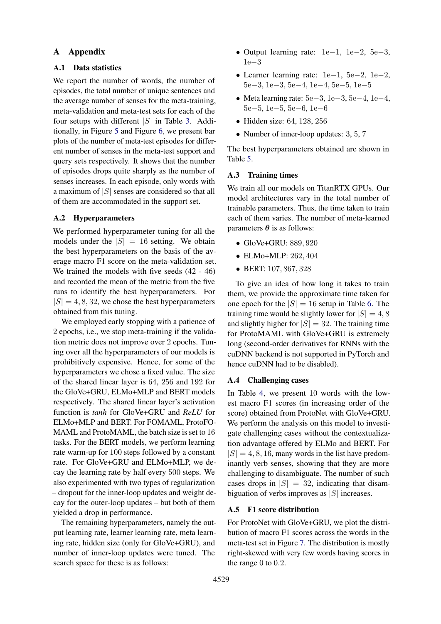## A Appendix

# <span id="page-12-0"></span>A.1 Data statistics

We report the number of words, the number of episodes, the total number of unique sentences and the average number of senses for the meta-training, meta-validation and meta-test sets for each of the four setups with different  $|S|$  in Table [3.](#page-13-1) Additionally, in Figure [5](#page-13-2) and Figure [6,](#page-14-0) we present bar plots of the number of meta-test episodes for different number of senses in the meta-test support and query sets respectively. It shows that the number of episodes drops quite sharply as the number of senses increases. In each episode, only words with a maximum of  $|S|$  senses are considered so that all of them are accommodated in the support set.

### A.2 Hyperparameters

We performed hyperparameter tuning for all the models under the  $|S| = 16$  setting. We obtain the best hyperparameters on the basis of the average macro F1 score on the meta-validation set. We trained the models with five seeds (42 - 46) and recorded the mean of the metric from the five runs to identify the best hyperparameters. For  $|S| = 4, 8, 32$ , we chose the best hyperparameters obtained from this tuning.

We employed early stopping with a patience of 2 epochs, i.e., we stop meta-training if the validation metric does not improve over 2 epochs. Tuning over all the hyperparameters of our models is prohibitively expensive. Hence, for some of the hyperparameters we chose a fixed value. The size of the shared linear layer is 64, 256 and 192 for the GloVe+GRU, ELMo+MLP and BERT models respectively. The shared linear layer's activation function is *tanh* for GloVe+GRU and *ReLU* for ELMo+MLP and BERT. For FOMAML, ProtoFO-MAML and ProtoMAML, the batch size is set to 16 tasks. For the BERT models, we perform learning rate warm-up for 100 steps followed by a constant rate. For GloVe+GRU and ELMo+MLP, we decay the learning rate by half every 500 steps. We also experimented with two types of regularization – dropout for the inner-loop updates and weight decay for the outer-loop updates – but both of them yielded a drop in performance.

The remaining hyperparameters, namely the output learning rate, learner learning rate, meta learning rate, hidden size (only for GloVe+GRU), and number of inner-loop updates were tuned. The search space for these is as follows:

- Output learning rate: 1e−1, 1e−2, 5e−3, 1e−3
- Learner learning rate: 1e−1, 5e−2, 1e−2, 5e−3, 1e−3, 5e−4, 1e−4, 5e−5, 1e−5
- Meta learning rate: 5e−3, 1e−3, 5e−4, 1e−4, 5e−5, 1e−5, 5e−6, 1e−6
- Hidden size: 64, 128, 256
- Number of inner-loop updates: 3, 5, 7

The best hyperparameters obtained are shown in Table [5.](#page-14-1)

### A.3 Training times

We train all our models on TitanRTX GPUs. Our model architectures vary in the total number of trainable parameters. Thus, the time taken to train each of them varies. The number of meta-learned parameters  $\theta$  is as follows:

- GloVe+GRU: 889, 920
- ELMo+MLP: 262, 404
- BERT: 107, 867, 328

To give an idea of how long it takes to train them, we provide the approximate time taken for one epoch for the  $|S| = 16$  setup in Table [6.](#page-14-2) The training time would be slightly lower for  $|S| = 4, 8$ and slightly higher for  $|S| = 32$ . The training time for ProtoMAML with GloVe+GRU is extremely long (second-order derivatives for RNNs with the cuDNN backend is not supported in PyTorch and hence cuDNN had to be disabled).

#### <span id="page-12-1"></span>A.4 Challenging cases

In Table [4,](#page-13-3) we present 10 words with the lowest macro F1 scores (in increasing order of the score) obtained from ProtoNet with GloVe+GRU. We perform the analysis on this model to investigate challenging cases without the contextualization advantage offered by ELMo and BERT. For  $|S| = 4, 8, 16$ , many words in the list have predominantly verb senses, showing that they are more challenging to disambiguate. The number of such cases drops in  $|S| = 32$ , indicating that disambiguation of verbs improves as  $|S|$  increases.

## A.5 F1 score distribution

For ProtoNet with GloVe+GRU, we plot the distribution of macro F1 scores across the words in the meta-test set in Figure [7.](#page-15-0) The distribution is mostly right-skewed with very few words having scores in the range 0 to 0.2.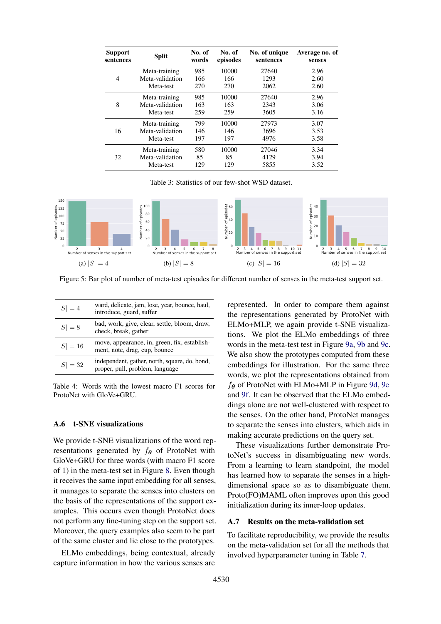<span id="page-13-1"></span>

| <b>Support</b><br>sentences | <b>Split</b>    | No. of<br>words | No. of<br>episodes | No. of unique<br>sentences | Average no. of<br>senses |
|-----------------------------|-----------------|-----------------|--------------------|----------------------------|--------------------------|
|                             | Meta-training   | 985             | 10000              | 27640                      | 2.96                     |
| 4                           | Meta-validation | 166             | 166                | 1293                       | 2.60                     |
|                             | Meta-test       | 270             | 270                | 2062                       | 2.60                     |
| 8                           | Meta-training   | 985             | 10000              | 27640                      | 2.96                     |
|                             | Meta-validation | 163             | 163                | 2343                       | 3.06                     |
|                             | Meta-test       | 259             | 259                | 3605                       | 3.16                     |
| 16                          | Meta-training   | 799             | 10000              | 27973                      | 3.07                     |
|                             | Meta-validation | 146             | 146                | 3696                       | 3.53                     |
|                             | Meta-test       | 197             | 197                | 4976                       | 3.58                     |
| 32                          | Meta-training   | 580             | 10000              | 27046                      | 3.34                     |
|                             | Meta-validation | 85              | 85                 | 4129                       | 3.94                     |
|                             | Meta-test       | 129             | 129                | 5855                       | 3.52                     |

Table 3: Statistics of our few-shot WSD dataset.

<span id="page-13-2"></span>

Figure 5: Bar plot of number of meta-test episodes for different number of senses in the meta-test support set.

<span id="page-13-3"></span>

| $ S =4$    | ward, delicate, jam, lose, year, bounce, haul,<br>introduce, guard, suffer       |
|------------|----------------------------------------------------------------------------------|
| $ S  = 8$  | bad, work, give, clear, settle, bloom, draw,<br>check, break, gather             |
| $ S  = 16$ | move, appearance, in, green, fix, establish-<br>ment, note, drag, cup, bounce    |
| $ S  = 32$ | independent, gather, north, square, do, bond,<br>proper, pull, problem, language |

Table 4: Words with the lowest macro F1 scores for ProtoNet with GloVe+GRU.

#### <span id="page-13-0"></span>A.6 t-SNE visualizations

We provide t-SNE visualizations of the word representations generated by  $f_{\theta}$  of ProtoNet with GloVe+GRU for three words (with macro F1 score of 1) in the meta-test set in Figure [8.](#page-15-1) Even though it receives the same input embedding for all senses, it manages to separate the senses into clusters on the basis of the representations of the support examples. This occurs even though ProtoNet does not perform any fine-tuning step on the support set. Moreover, the query examples also seem to be part of the same cluster and lie close to the prototypes.

ELMo embeddings, being contextual, already capture information in how the various senses are

represented. In order to compare them against the representations generated by ProtoNet with ELMo+MLP, we again provide t-SNE visualizations. We plot the ELMo embeddings of three words in the meta-test test in Figure [9a,](#page-15-2) [9b](#page-15-2) and [9c.](#page-15-2) We also show the prototypes computed from these embeddings for illustration. For the same three words, we plot the representations obtained from  $f_{\theta}$  of ProtoNet with ELMo+MLP in Figure [9d,](#page-15-2) [9e](#page-15-2) and [9f.](#page-15-2) It can be observed that the ELMo embeddings alone are not well-clustered with respect to the senses. On the other hand, ProtoNet manages to separate the senses into clusters, which aids in making accurate predictions on the query set.

These visualizations further demonstrate ProtoNet's success in disambiguating new words. From a learning to learn standpoint, the model has learned how to separate the senses in a highdimensional space so as to disambiguate them. Proto(FO)MAML often improves upon this good initialization during its inner-loop updates.

### A.7 Results on the meta-validation set

To facilitate reproducibility, we provide the results on the meta-validation set for all the methods that involved hyperparameter tuning in Table [7.](#page-16-0)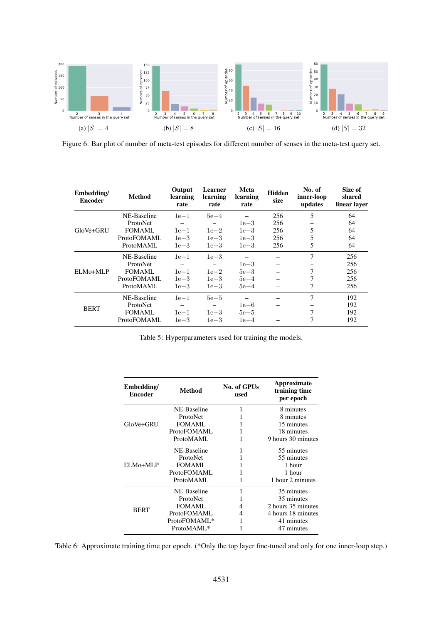<span id="page-14-0"></span>

Figure 6: Bar plot of number of meta-test episodes for different number of senses in the meta-test query set.

<span id="page-14-1"></span>

| Embedding/<br><b>Encoder</b> | <b>Method</b> | Output<br>learning<br>rate | Learner<br>learning<br>rate | Meta<br>learning<br>rate | <b>Hidden</b><br>size | No. of<br>inner-loop<br>updates | Size of<br>shared<br>linear layer |
|------------------------------|---------------|----------------------------|-----------------------------|--------------------------|-----------------------|---------------------------------|-----------------------------------|
|                              | NE-Baseline   | $1e-1$                     | $5e-4$                      |                          | 256                   | 5                               | 64                                |
|                              | ProtoNet      |                            |                             | $1e-3$                   | 256                   |                                 | 64                                |
| GloVe+GRU                    | FOMAML        | $1e-1$                     | $1e-2$                      | $1e-3$                   | 256                   | 5                               | 64                                |
|                              | ProtoFOMAML   | $1e-3$                     | $1e-3$                      | $1e-3$                   | 256                   | 5                               | 64                                |
|                              | ProtoMAML     | $1e-3$                     | $1e-3$                      | $1e-3$                   | 256                   | 5                               | 64                                |
|                              | NE-Baseline   | $1e-1$                     | $1e-3$                      |                          |                       | 7                               | 256                               |
|                              | ProtoNet      |                            |                             | $1e-3$                   |                       |                                 | 256                               |
| ELMo+MLP                     | FOMAML        | $1e-1$                     | $1e-2$                      | $5e-3$                   |                       | 7                               | 256                               |
|                              | ProtoFOMAML   | $1e-3$                     | $1e-3$                      | $5e-4$                   |                       | 7                               | 256                               |
|                              | ProtoMAML     | $1e-3$                     | $1e-3$                      | $5e-4$                   |                       | 7                               | 256                               |
| <b>BERT</b>                  | NE-Baseline   | $1e-1$                     | $5e-5$                      |                          |                       | 7                               | 192                               |
|                              | ProtoNet      |                            |                             | $1e-6$                   |                       |                                 | 192                               |
|                              | <b>FOMAML</b> | $1e-1$                     | $1e-3$                      | $5e-5$                   |                       | 7                               | 192                               |
|                              | ProtoFOMAML   | $1e-3$                     | $1e-3$                      | $1e-4$                   |                       | 7                               | 192                               |

Table 5: Hyperparameters used for training the models.

<span id="page-14-2"></span>

| Embedding/<br>Method<br><b>Encoder</b> |                        | No. of GPUs<br>used | Approximate<br>training time<br>per epoch |  |
|----------------------------------------|------------------------|---------------------|-------------------------------------------|--|
|                                        | NE-Baseline            | 1                   | 8 minutes                                 |  |
|                                        | ProtoNet               |                     | 8 minutes                                 |  |
| GloVe+GRU                              | FOMAML                 |                     | 15 minutes                                |  |
|                                        | ProtoFOMAML            |                     | 18 minutes                                |  |
|                                        | ProtoMAML              |                     | 9 hours 30 minutes                        |  |
|                                        | NE-Baseline            | 1                   | 55 minutes                                |  |
|                                        | ProtoNet               |                     | 55 minutes                                |  |
| ELM0+MLP                               | FOMAML                 |                     | 1 hour                                    |  |
|                                        | ProtoFOMAML            |                     | 1 hour                                    |  |
|                                        | ProtoMAML              |                     | 1 hour 2 minutes                          |  |
|                                        | NE-Baseline            | 1                   | 35 minutes                                |  |
|                                        | ProtoNet               |                     | 35 minutes                                |  |
| <b>BERT</b>                            | <b>FOMAML</b>          | 4                   | 2 hours 35 minutes                        |  |
|                                        | ProtoFOMAML            | 4                   | 4 hours 18 minutes                        |  |
|                                        | ProtoFOMAML*           |                     | 41 minutes                                |  |
|                                        | ProtoMAML <sup>*</sup> |                     | 47 minutes                                |  |

Table 6: Approximate training time per epoch. (\*Only the top layer fine-tuned and only for one inner-loop step.)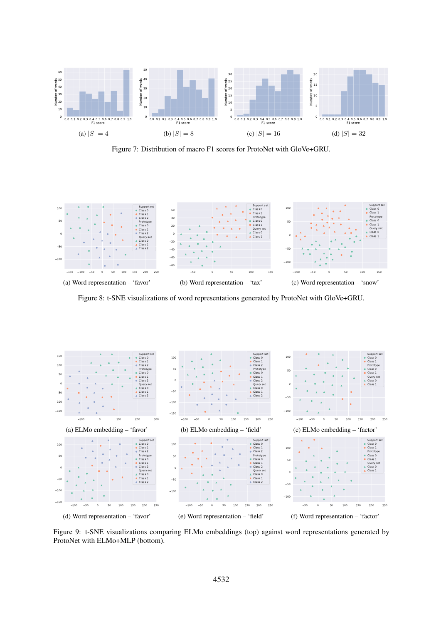<span id="page-15-0"></span>

Figure 7: Distribution of macro F1 scores for ProtoNet with GloVe+GRU.

<span id="page-15-1"></span>

Figure 8: t-SNE visualizations of word representations generated by ProtoNet with GloVe+GRU.

<span id="page-15-2"></span>

Figure 9: t-SNE visualizations comparing ELMo embeddings (top) against word representations generated by ProtoNet with ELMo+MLP (bottom).